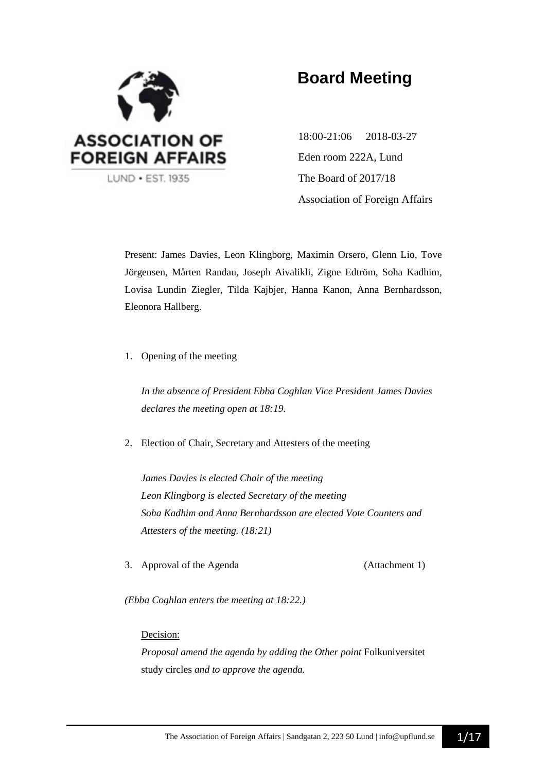

# **Board Meeting**

18:00-21:06 2018-03-27 Eden room 222A, Lund The Board of 2017/18 Association of Foreign Affairs

Present: James Davies, Leon Klingborg, Maximin Orsero, Glenn Lio, Tove Jörgensen, Mårten Randau, Joseph Aivalikli, Zigne Edtröm, Soha Kadhim, Lovisa Lundin Ziegler, Tilda Kajbjer, Hanna Kanon, Anna Bernhardsson, Eleonora Hallberg.

1. Opening of the meeting

*In the absence of President Ebba Coghlan Vice President James Davies declares the meeting open at 18:19.*

2. Election of Chair, Secretary and Attesters of the meeting

*James Davies is elected Chair of the meeting Leon Klingborg is elected Secretary of the meeting Soha Kadhim and Anna Bernhardsson are elected Vote Counters and Attesters of the meeting. (18:21)*

3. Approval of the Agenda (Attachment 1)

*(Ebba Coghlan enters the meeting at 18:22.)*

### Decision:

*Proposal amend the agenda by adding the Other point* Folkuniversitet study circles *and to approve the agenda.*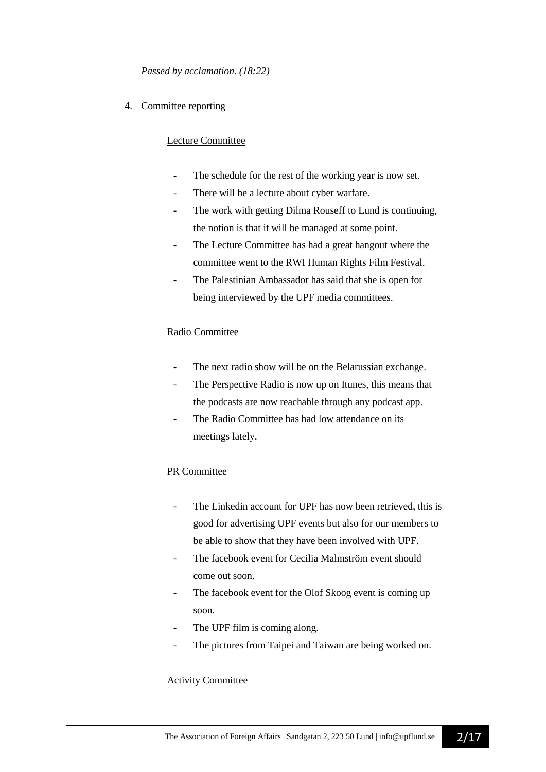4. Committee reporting

### Lecture Committee

- The schedule for the rest of the working year is now set.
- There will be a lecture about cyber warfare.
- The work with getting Dilma Rouseff to Lund is continuing, the notion is that it will be managed at some point.
- The Lecture Committee has had a great hangout where the committee went to the RWI Human Rights Film Festival.
- The Palestinian Ambassador has said that she is open for being interviewed by the UPF media committees.

### Radio Committee

- The next radio show will be on the Belarussian exchange.
- The Perspective Radio is now up on Itunes, this means that the podcasts are now reachable through any podcast app.
- The Radio Committee has had low attendance on its meetings lately.

### PR Committee

- The Linkedin account for UPF has now been retrieved, this is good for advertising UPF events but also for our members to be able to show that they have been involved with UPF.
- The facebook event for Cecilia Malmström event should come out soon.
- The facebook event for the Olof Skoog event is coming up soon.
- The UPF film is coming along.
- The pictures from Taipei and Taiwan are being worked on.

### Activity Committee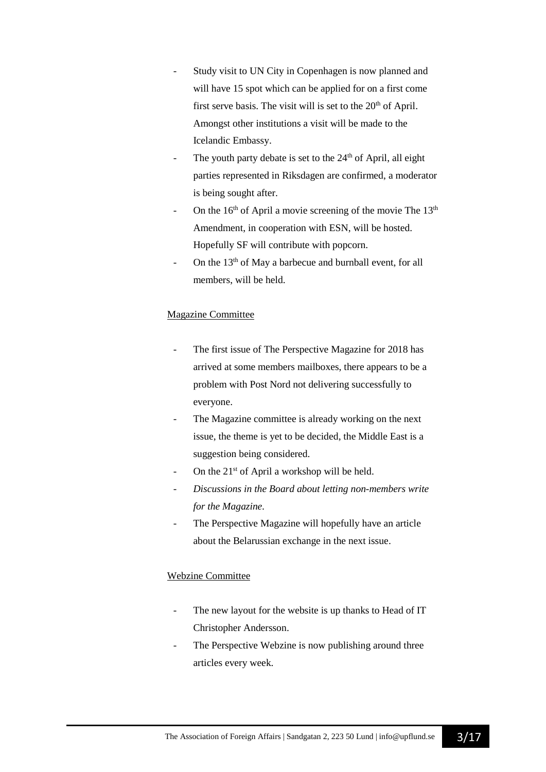- Study visit to UN City in Copenhagen is now planned and will have 15 spot which can be applied for on a first come first serve basis. The visit will is set to the  $20<sup>th</sup>$  of April. Amongst other institutions a visit will be made to the Icelandic Embassy.
- The youth party debate is set to the  $24<sup>th</sup>$  of April, all eight parties represented in Riksdagen are confirmed, a moderator is being sought after.
- On the  $16<sup>th</sup>$  of April a movie screening of the movie The  $13<sup>th</sup>$ Amendment, in cooperation with ESN, will be hosted. Hopefully SF will contribute with popcorn.
- On the  $13<sup>th</sup>$  of May a barbecue and burnball event, for all members, will be held.

## Magazine Committee

- The first issue of The Perspective Magazine for 2018 has arrived at some members mailboxes, there appears to be a problem with Post Nord not delivering successfully to everyone.
- The Magazine committee is already working on the next issue, the theme is yet to be decided, the Middle East is a suggestion being considered.
- On the  $21<sup>st</sup>$  of April a workshop will be held.
- *Discussions in the Board about letting non-members write for the Magazine.*
- The Perspective Magazine will hopefully have an article about the Belarussian exchange in the next issue.

### Webzine Committee

- The new layout for the website is up thanks to Head of IT Christopher Andersson.
- The Perspective Webzine is now publishing around three articles every week.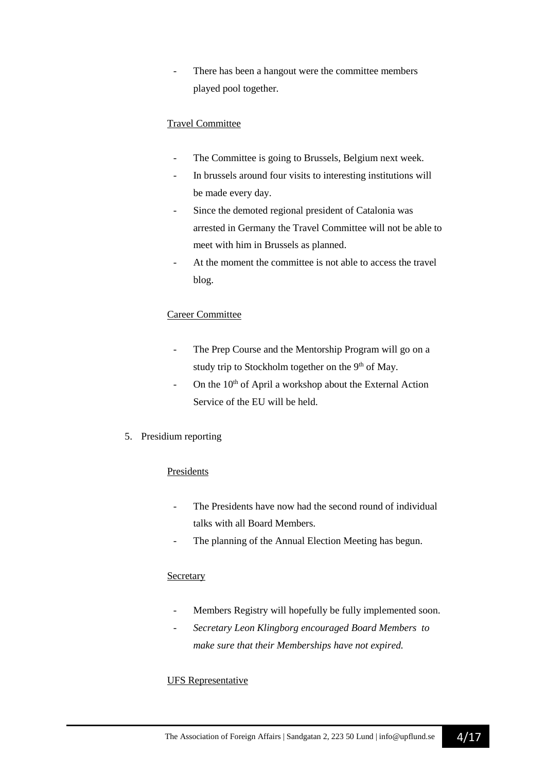There has been a hangout were the committee members played pool together.

## Travel Committee

- The Committee is going to Brussels, Belgium next week.
- In brussels around four visits to interesting institutions will be made every day.
- Since the demoted regional president of Catalonia was arrested in Germany the Travel Committee will not be able to meet with him in Brussels as planned.
- At the moment the committee is not able to access the travel blog.

### Career Committee

- The Prep Course and the Mentorship Program will go on a study trip to Stockholm together on the 9<sup>th</sup> of May.
- On the  $10<sup>th</sup>$  of April a workshop about the External Action Service of the EU will be held.
- 5. Presidium reporting

### Presidents

- The Presidents have now had the second round of individual talks with all Board Members.
- The planning of the Annual Election Meeting has begun.

### Secretary

- Members Registry will hopefully be fully implemented soon.
- *- Secretary Leon Klingborg encouraged Board Members to make sure that their Memberships have not expired.*

### UFS Representative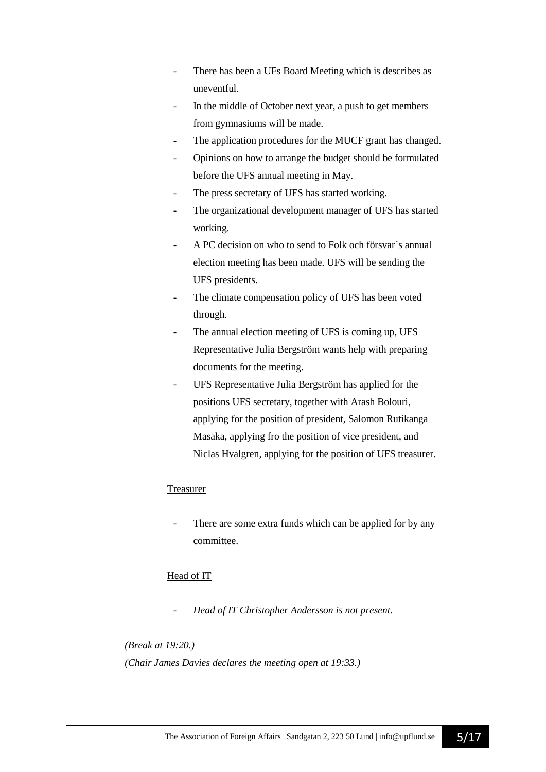- There has been a UFs Board Meeting which is describes as uneventful.
- In the middle of October next year, a push to get members from gymnasiums will be made.
- The application procedures for the MUCF grant has changed.
- Opinions on how to arrange the budget should be formulated before the UFS annual meeting in May.
- The press secretary of UFS has started working.
- The organizational development manager of UFS has started working.
- A PC decision on who to send to Folk och försvar´s annual election meeting has been made. UFS will be sending the UFS presidents.
- The climate compensation policy of UFS has been voted through.
- The annual election meeting of UFS is coming up, UFS Representative Julia Bergström wants help with preparing documents for the meeting.
- UFS Representative Julia Bergström has applied for the positions UFS secretary, together with Arash Bolouri, applying for the position of president, Salomon Rutikanga Masaka, applying fro the position of vice president, and Niclas Hvalgren, applying for the position of UFS treasurer.

## Treasurer

There are some extra funds which can be applied for by any committee.

## Head of IT

- *Head of IT Christopher Andersson is not present.*

*(Break at 19:20.) (Chair James Davies declares the meeting open at 19:33.)*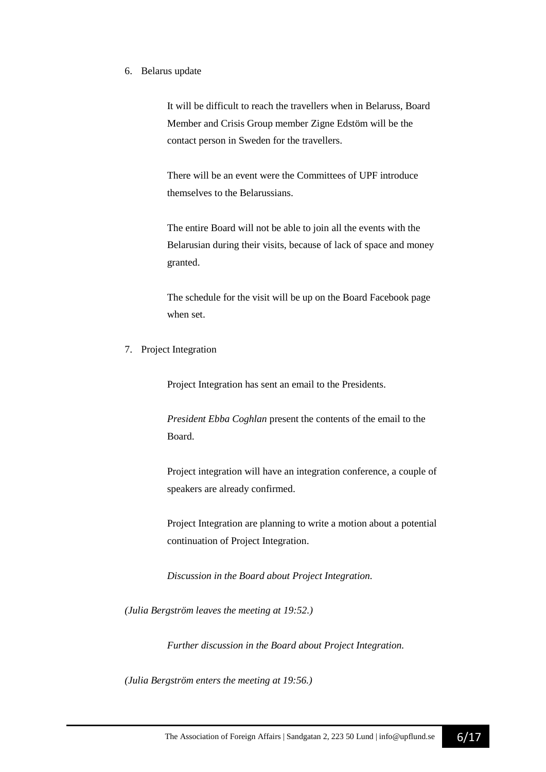#### 6. Belarus update

It will be difficult to reach the travellers when in Belaruss, Board Member and Crisis Group member Zigne Edstöm will be the contact person in Sweden for the travellers.

There will be an event were the Committees of UPF introduce themselves to the Belarussians.

The entire Board will not be able to join all the events with the Belarusian during their visits, because of lack of space and money granted.

The schedule for the visit will be up on the Board Facebook page when set.

7. Project Integration

Project Integration has sent an email to the Presidents.

*President Ebba Coghlan* present the contents of the email to the Board.

Project integration will have an integration conference, a couple of speakers are already confirmed.

Project Integration are planning to write a motion about a potential continuation of Project Integration.

*Discussion in the Board about Project Integration.*

*(Julia Bergström leaves the meeting at 19:52.)*

*Further discussion in the Board about Project Integration.*

*(Julia Bergström enters the meeting at 19:56.)*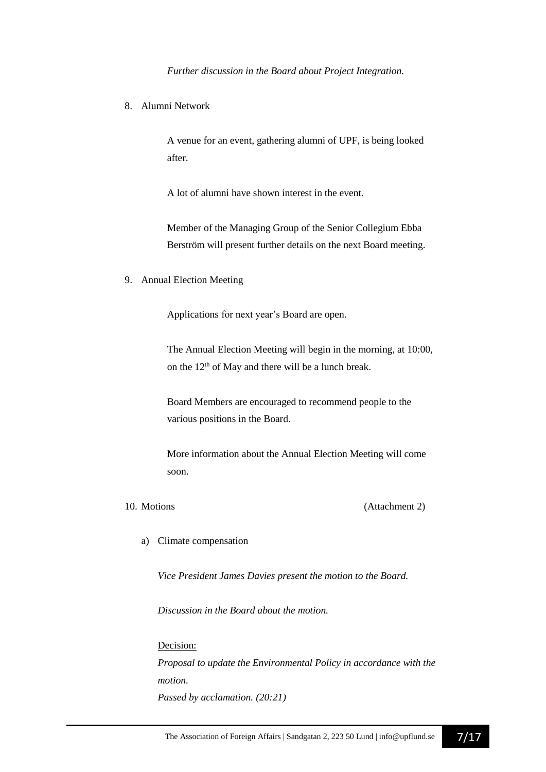*Further discussion in the Board about Project Integration.*

8. Alumni Network

A venue for an event, gathering alumni of UPF, is being looked after.

A lot of alumni have shown interest in the event.

Member of the Managing Group of the Senior Collegium Ebba Berström will present further details on the next Board meeting.

9. Annual Election Meeting

Applications for next year's Board are open.

The Annual Election Meeting will begin in the morning, at 10:00, on the 12<sup>th</sup> of May and there will be a lunch break.

Board Members are encouraged to recommend people to the various positions in the Board.

More information about the Annual Election Meeting will come soon.

10. Motions (Attachment 2)

a) Climate compensation

*Vice President James Davies present the motion to the Board.*

*Discussion in the Board about the motion.*

#### Decision:

*Proposal to update the Environmental Policy in accordance with the motion. Passed by acclamation. (20:21)*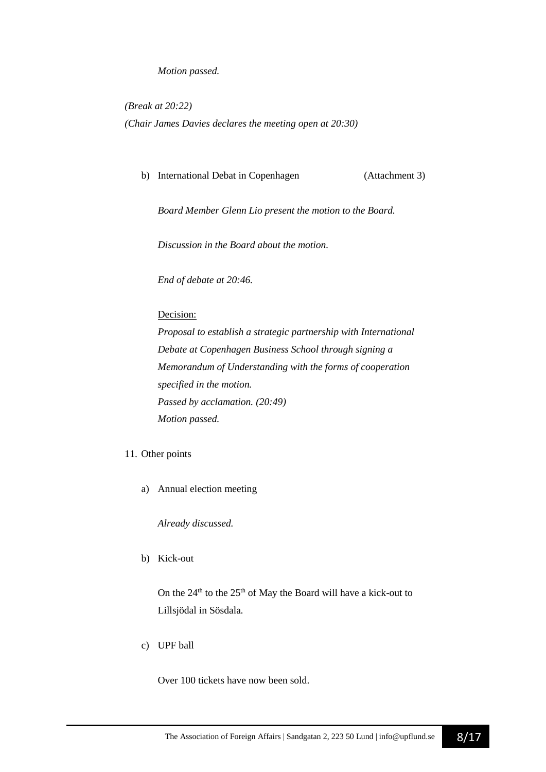### *Motion passed.*

*(Break at 20:22) (Chair James Davies declares the meeting open at 20:30)*

b) International Debat in Copenhagen (Attachment 3)

*Board Member Glenn Lio present the motion to the Board.*

*Discussion in the Board about the motion.*

*End of debate at 20:46.*

### Decision:

*Proposal to establish a strategic partnership with International Debate at Copenhagen Business School through signing a Memorandum of Understanding with the forms of cooperation specified in the motion. Passed by acclamation. (20:49) Motion passed.*

### 11. Other points

a) Annual election meeting

*Already discussed.*

b) Kick-out

On the  $24<sup>th</sup>$  to the  $25<sup>th</sup>$  of May the Board will have a kick-out to Lillsjödal in Sösdala*.*

c) UPF ball

Over 100 tickets have now been sold.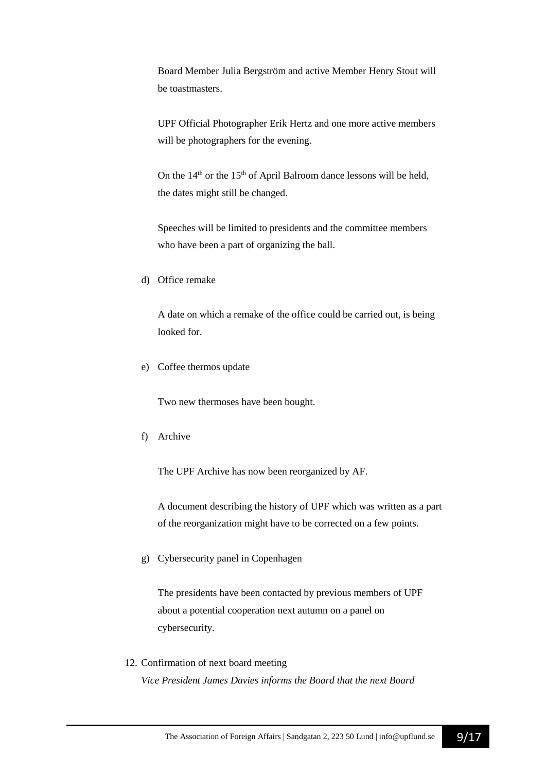Board Member Julia Bergström and active Member Henry Stout will be toastmasters.

UPF Official Photographer Erik Hertz and one more active members will be photographers for the evening.

On the  $14<sup>th</sup>$  or the  $15<sup>th</sup>$  of April Balroom dance lessons will be held, the dates might still be changed.

Speeches will be limited to presidents and the committee members who have been a part of organizing the ball.

d) Office remake

A date on which a remake of the office could be carried out, is being looked for.

e) Coffee thermos update

Two new thermoses have been bought.

f) Archive

The UPF Archive has now been reorganized by AF.

A document describing the history of UPF which was written as a part of the reorganization might have to be corrected on a few points.

g) Cybersecurity panel in Copenhagen

The presidents have been contacted by previous members of UPF about a potential cooperation next autumn on a panel on cybersecurity.

12. Confirmation of next board meeting *Vice President James Davies informs the Board that the next Board*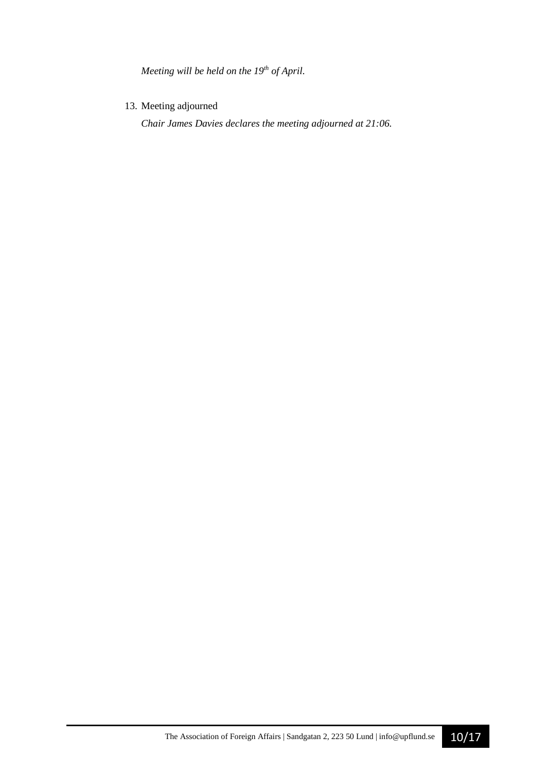*Meeting will be held on the 19th of April.*

13. Meeting adjourned

*Chair James Davies declares the meeting adjourned at 21:06.*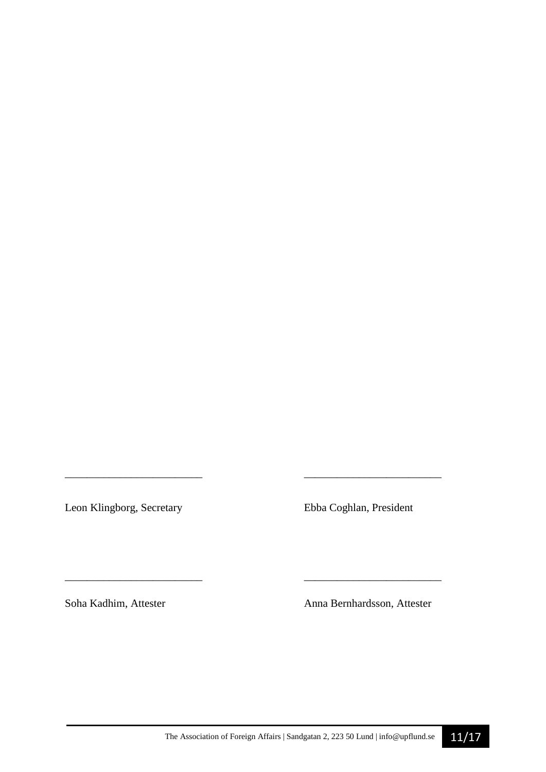Leon Klingborg, Secretary Ebba Coghlan, President

*\_\_\_\_\_\_\_\_\_\_\_\_\_\_\_\_\_\_\_\_\_\_\_\_\_ \_\_\_\_\_\_\_\_\_\_\_\_\_\_\_\_\_\_\_\_\_\_\_\_\_* 

\_\_\_\_\_\_\_\_\_\_\_\_\_\_\_\_\_\_\_\_\_\_\_\_\_ \_\_\_\_\_\_\_\_\_\_\_\_\_\_\_\_\_\_\_\_\_\_\_\_\_

Soha Kadhim, Attester Anna Bernhardsson, Attester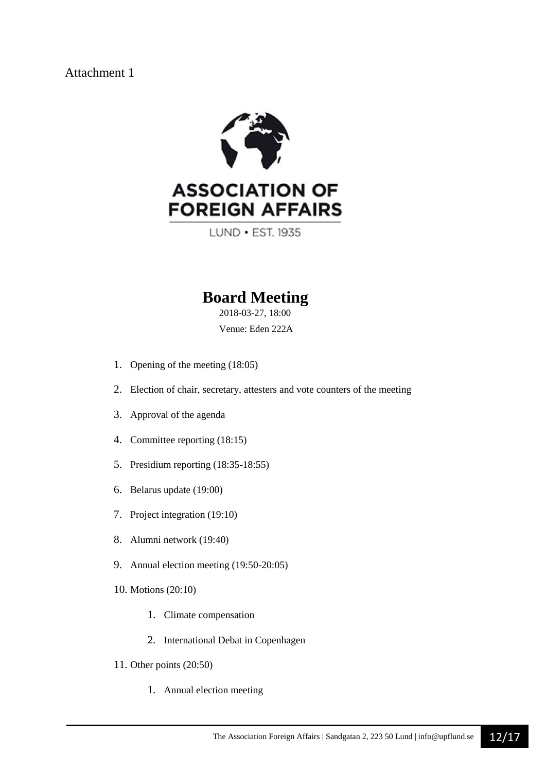## Attachment 1



LUND . EST. 1935

# **Board Meeting**

2018-03-27, 18:00 Venue: Eden 222A

- 1. Opening of the meeting (18:05)
- 2. Election of chair, secretary, attesters and vote counters of the meeting
- 3. Approval of the agenda
- 4. Committee reporting (18:15)
- 5. Presidium reporting (18:35-18:55)
- 6. Belarus update (19:00)
- 7. Project integration (19:10)
- 8. Alumni network (19:40)
- 9. Annual election meeting (19:50-20:05)
- 10. Motions (20:10)
	- 1. Climate compensation
	- 2. International Debat in Copenhagen
- 11. Other points (20:50)
	- 1. Annual election meeting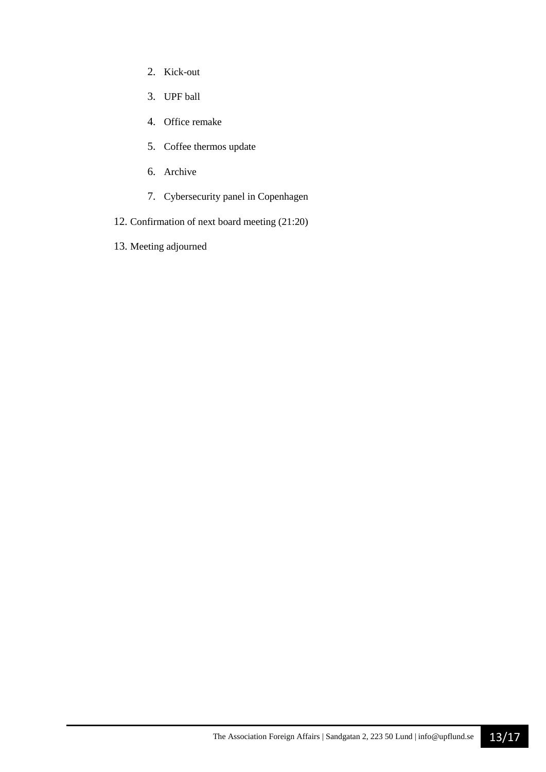- 2. Kick-out
- 3. UPF ball
- 4. Office remake
- 5. Coffee thermos update
- 6. Archive
- 7. Cybersecurity panel in Copenhagen
- 12. Confirmation of next board meeting (21:20)
- 13. Meeting adjourned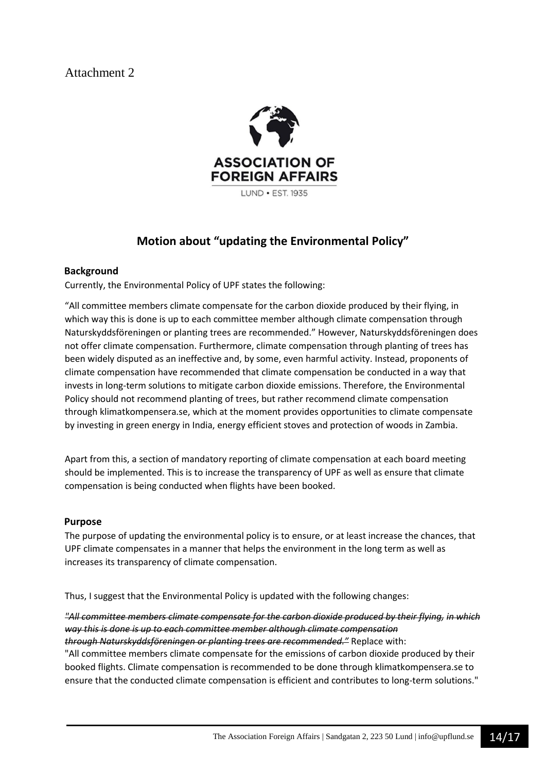## Attachment 2



## **Motion about "updating the Environmental Policy"**

## **Background**

Currently, the Environmental Policy of UPF states the following:

"All committee members climate compensate for the carbon dioxide produced by their flying, in which way this is done is up to each committee member although climate compensation through Naturskyddsföreningen or planting trees are recommended." However, Naturskyddsföreningen does not offer climate compensation. Furthermore, climate compensation through planting of trees has been widely disputed as an ineffective and, by some, even harmful activity. Instead, proponents of climate compensation have recommended that climate compensation be conducted in a way that invests in long-term solutions to mitigate carbon dioxide emissions. Therefore, the Environmental Policy should not recommend planting of trees, but rather recommend climate compensation through klimatkompensera.se, which at the moment provides opportunities to climate compensate by investing in green energy in India, energy efficient stoves and protection of woods in Zambia.

Apart from this, a section of mandatory reporting of climate compensation at each board meeting should be implemented. This is to increase the transparency of UPF as well as ensure that climate compensation is being conducted when flights have been booked.

### **Purpose**

The purpose of updating the environmental policy is to ensure, or at least increase the chances, that UPF climate compensates in a manner that helps the environment in the long term as well as increases its transparency of climate compensation.

Thus, I suggest that the Environmental Policy is updated with the following changes:

*"All committee members climate compensate for the carbon dioxide produced by their flying, in which way this is done is up to each committee member although climate compensation through Naturskyddsföreningen or planting trees are recommended."* Replace with: "All committee members climate compensate for the emissions of carbon dioxide produced by their booked flights. Climate compensation is recommended to be done through klimatkompensera.se to ensure that the conducted climate compensation is efficient and contributes to long-term solutions."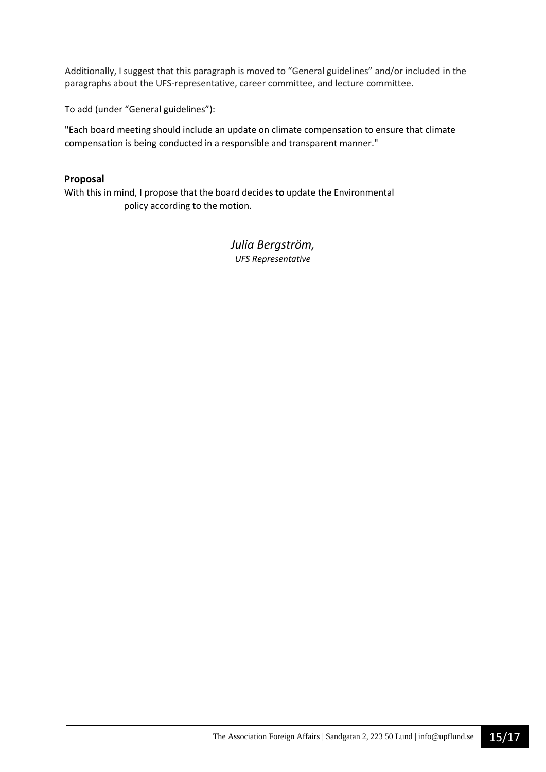Additionally, I suggest that this paragraph is moved to "General guidelines" and/or included in the paragraphs about the UFS-representative, career committee, and lecture committee.

To add (under "General guidelines"):

"Each board meeting should include an update on climate compensation to ensure that climate compensation is being conducted in a responsible and transparent manner."

## **Proposal**

With this in mind, I propose that the board decides **to** update the Environmental policy according to the motion.

> *Julia Bergström, UFS Representative*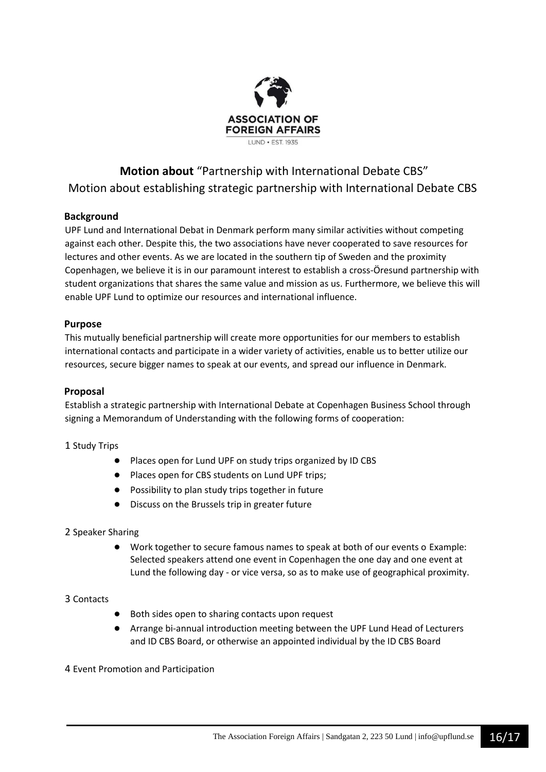

# **Motion about** "Partnership with International Debate CBS" Motion about establishing strategic partnership with International Debate CBS

## **Background**

UPF Lund and International Debat in Denmark perform many similar activities without competing against each other. Despite this, the two associations have never cooperated to save resources for lectures and other events. As we are located in the southern tip of Sweden and the proximity Copenhagen, we believe it is in our paramount interest to establish a cross-Öresund partnership with student organizations that shares the same value and mission as us. Furthermore, we believe this will enable UPF Lund to optimize our resources and international influence.

### **Purpose**

This mutually beneficial partnership will create more opportunities for our members to establish international contacts and participate in a wider variety of activities, enable us to better utilize our resources, secure bigger names to speak at our events, and spread our influence in Denmark.

### **Proposal**

Establish a strategic partnership with International Debate at Copenhagen Business School through signing a Memorandum of Understanding with the following forms of cooperation:

### 1 Study Trips

- Places open for Lund UPF on study trips organized by ID CBS
- Places open for CBS students on Lund UPF trips;
- Possibility to plan study trips together in future
- Discuss on the Brussels trip in greater future

### 2 Speaker Sharing

● Work together to secure famous names to speak at both of our events o Example: Selected speakers attend one event in Copenhagen the one day and one event at Lund the following day - or vice versa, so as to make use of geographical proximity.

### 3 Contacts

- Both sides open to sharing contacts upon request
- Arrange bi-annual introduction meeting between the UPF Lund Head of Lecturers and ID CBS Board, or otherwise an appointed individual by the ID CBS Board

### 4 Event Promotion and Participation